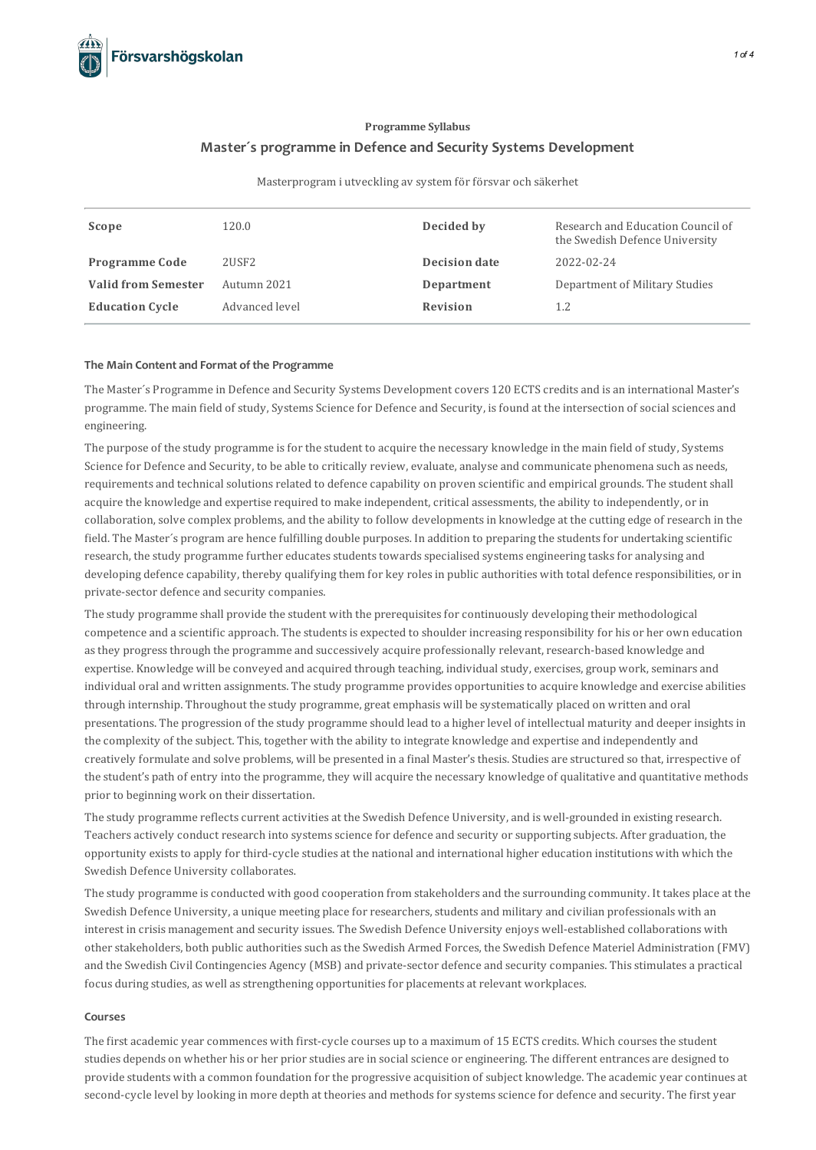# **Programme Syllabus Master´s programme in Defence and Security Systems Development**

Masterprogram i utveckling av system för försvar och säkerhet

| Scope                      | 120.0             | Decided by      | Research and Education Council of<br>the Swedish Defence University |
|----------------------------|-------------------|-----------------|---------------------------------------------------------------------|
| <b>Programme Code</b>      | 2USF <sub>2</sub> | Decision date   | 2022-02-24                                                          |
| <b>Valid from Semester</b> | Autumn 2021       | Department      | Department of Military Studies                                      |
| <b>Education Cycle</b>     | Advanced level    | <b>Revision</b> | 1.2                                                                 |

# **The Main Contentand Format of the Programme**

The Master's Programme in Defence and Security Systems Development covers 120 ECTS credits and is an international Master's programme. The main field of study, Systems Science for Defence and Security, isfound at the intersection of socialsciences and engineering.

The purpose of the study programme is for the student to acquire the necessary knowledge in the main field of study, Systems Science for Defence and Security, to be able to critically review, evaluate, analyse and communicate phenomena such as needs, requirements and technical solutions related to defence capability on proven scientific and empirical grounds. The student shall acquire the knowledge and expertise required to make independent, critical assessments, the ability to independently, or in collaboration,solve complex problems, and the ability to follow developmentsin knowledge at the cutting edge of research in the field. The Master's program are hence fulfilling double purposes. In addition to preparing the students for undertaking scientific research, the study programme further educates students towards specialised systems engineering tasks for analysing and developing defence capability, thereby qualifying them for key rolesin public authorities with total defence responsibilities, or in private-sector defence and security companies.

The study programme shall provide the student with the prerequisitesforcontinuously developing their methodological competence and a scientific approach. The studentsis expected to shoulder increasing responsibility for his or her own education asthey progressthrough the programme and successively acquire professionally relevant, research-based knowledge and expertise. Knowledge will be conveyed and acquired through teaching, individual study, exercises, group work, seminars and individual oral and written assignments. The study programme provides opportunities to acquire knowledge and exercise abilities through internship. Throughout the study programme, great emphasis will be systematically placed on written and oral presentations. The progression of the study programme should lead to a higher level of intellectual maturity and deeper insights in the complexity of the subject. This, together with the ability to integrate knowledge and expertise and independently and creatively formulate and solve problems, will be presented in a final Master'sthesis. Studies are structured so that, irrespective of the student's path of entry into the programme, they will acquire the necessary knowledge of qualitative and quantitative methods prior to beginning work on their dissertation.

The study programme reflects current activities at the Swedish Defence University, and is well-grounded in existing research. Teachers actively conduct research into systemsscience for defence and security orsupporting subjects. After graduation, the opportunity existsto apply for third-cycle studies at the national and international higher education institutions with which the Swedish Defence University collaborates.

The study programme isconducted with good cooperation from stakeholders and the surrounding community. It takes place at the Swedish Defence University, a unique meeting place for researchers, students and military and civilian professionals with an interest in crisis management and security issues. The Swedish Defence University enjoys well-established collaborations with other stakeholders, both public authorities such as the Swedish Armed Forces, the Swedish Defence Materiel Administration (FMV) and the Swedish Civil Contingencies Agency (MSB) and private-sector defence and security companies. Thisstimulates a practical focus during studies, as well as strengthening opportunities for placements at relevant workplaces.

#### **Courses**

The first academic year commences with first-cycle courses up to a maximum of 15 ECTS credits. Which courses the student studies depends on whether his or her prior studies are in social science or engineering. The different entrances are designed to provide students with a common foundation for the progressive acquisition of subject knowledge. The academic yearcontinues at second-cycle level by looking in more depth at theories and methods for systems science for defence and security. The first year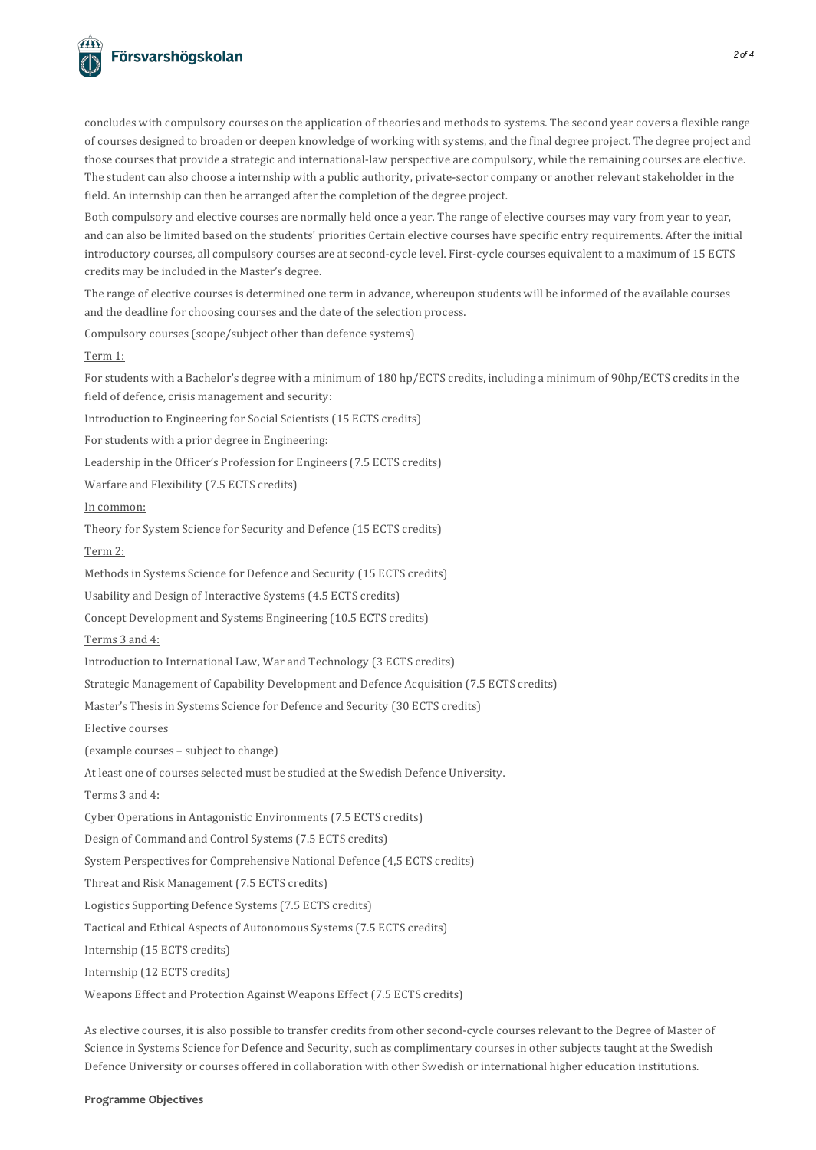

concludes with compulsory courses on the application of theories and methods to systems. The second year covers a flexible range of courses designed to broaden or deepen knowledge of working with systems, and the final degree project. The degree project and those courses that provide a strategic and international-law perspective are compulsory, while the remaining courses are elective. The student can also choose a internship with a public authority, private-sector company or another relevant stakeholder in the field. An internship can then be arranged after the completion of the degree project.

Both compulsory and elective courses are normally held once a year. The range of elective courses may vary from year to year, and can also be limited based on the students' priorities Certain elective courses have specific entry requirements. After the initial introductory courses, allcompulsory courses are at second-cycle level. First-cycle courses equivalent to a maximum of 15 ECTS credits may be included in the Master's degree.

The range of elective coursesis determined one term in advance, whereupon students will be informed of the available courses and the deadline for choosing courses and the date of the selection process.

Compulsory courses(scope/subject other than defence systems)

# Term 1:

For students with a Bachelor's degree with a minimum of 180 hp/ECTS credits, including a minimum of 90hp/ECTS credits in the field of defence, crisis management and security:

Introduction to Engineering for Social Scientists(15 ECTS credits)

For students with a prior degree in Engineering:

Leadership in the Officer's Profession for Engineers(7.5 ECTS credits)

Warfare and Flexibility (7.5 ECTS credits)

In common:

Theory for System Science for Security and Defence (15 ECTS credits)

# Term 2:

Methodsin Systems Science for Defence and Security (15 ECTS credits)

Usability and Design of Interactive Systems(4.5 ECTS credits)

Concept Development and Systems Engineering (10.5 ECTS credits)

Terms 3 and 4:

Introduction to International Law, War and Technology (3 ECTS credits)

Strategic Management of Capability Development and Defence Acquisition (7.5 ECTS credits)

Master's Thesisin Systems Science for Defence and Security (30 ECTS credits)

Elective courses

(example courses – subject to change)

At least one of courses selected must be studied at the Swedish Defence University.

Terms 3 and 4:

Cyber Operations in Antagonistic Environments (7.5 ECTS credits)

Design of Command and Control Systems(7.5 ECTS credits)

System Perspectives for Comprehensive National Defence (4,5 ECTS credits)

Threat and Risk Management (7.5 ECTS credits)

Logistics Supporting Defence Systems(7.5 ECTS credits)

Tactical and Ethical Aspects of Autonomous Systems(7.5 ECTS credits)

Internship (15 ECTS credits)

Internship (12 ECTS credits)

Weapons Effect and Protection Against Weapons Effect (7.5 ECTS credits)

As elective courses, it is also possible to transfer credits from other second-cycle courses relevant to the Degree of Master of Science in Systems Science for Defence and Security, such as complimentary courses in other subjects taught at the Swedish Defence University or courses offered in collaboration with other Swedish or international higher education institutions.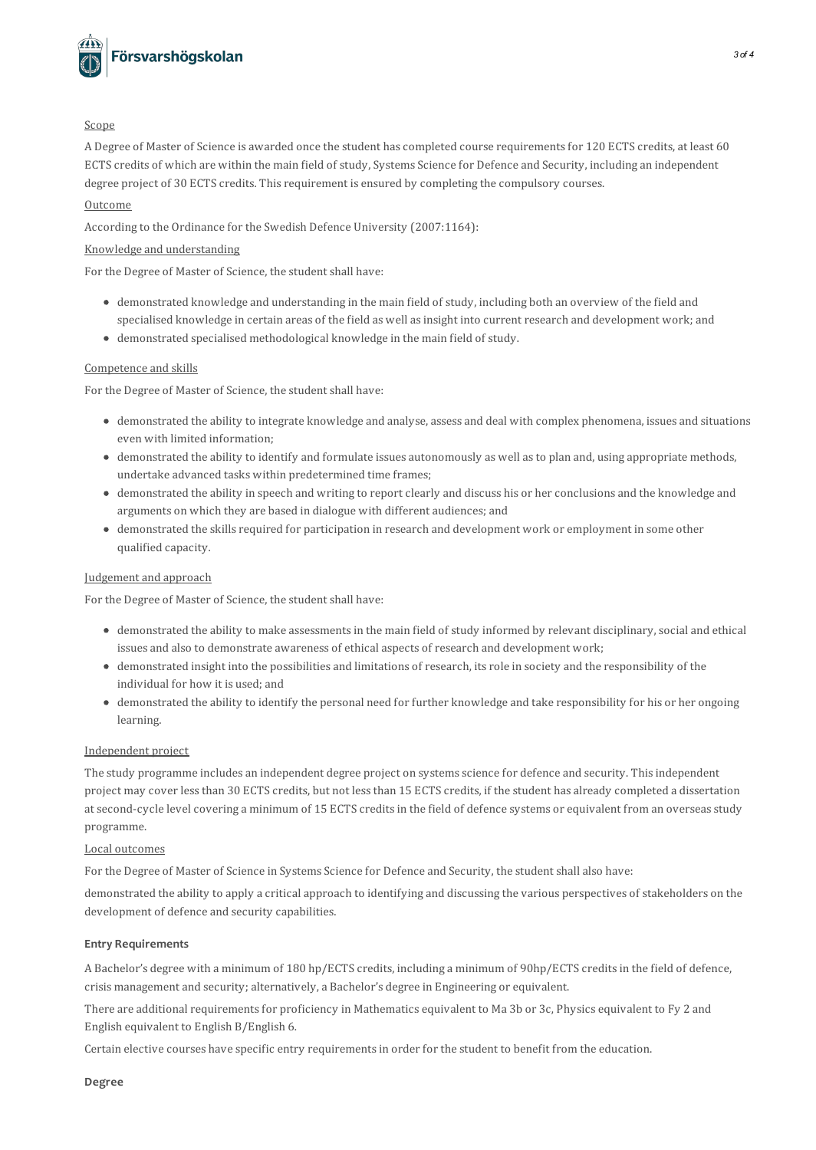

#### Scope

A Degree of Master of Science is awarded once the student hascompleted course requirementsfor 120 ECTS credits, at least 60 ECTS credits of which are within the main field of study, Systems Science for Defence and Security, including an independent degree project of 30 ECTS credits. Thisrequirement is ensured by completing the compulsory courses.

# Outcome

According to the Ordinance for the Swedish Defence University (2007:1164):

# Knowledge and understanding

For the Degree of Master of Science, the student shall have:

- demonstrated knowledge and understanding in the main field of study, including both an overview of the field and specialised knowledge in certain areas of the field as well as insight into current research and development work; and
- demonstrated specialised methodological knowledge in the main field of study.

# Competence and skills

For the Degree of Master of Science, the student shall have:

- demonstrated the ability to integrate knowledge and analyse, assess and deal with complex phenomena, issues and situations even with limited information;
- demonstrated the ability to identify and formulate issues autonomously as well asto plan and, using appropriate methods, undertake advanced tasks within predetermined time frames;
- demonstrated the ability in speech and writing to reportclearly and discuss his or herconclusions and the knowledge and arguments on which they are based in dialogue with different audiences; and
- demonstrated the skillsrequired for participation in research and development work or employment in some other qualified capacity.

# Judgement and approach

For the Degree of Master of Science, the student shall have:

- demonstrated the ability to make assessmentsin the main field of study informed by relevant disciplinary,social and ethical issues and also to demonstrate awareness of ethical aspects of research and development work;
- demonstrated insight into the possibilities and limitations of research, itsrole in society and the responsibility of the individual for how it is used; and
- demonstrated the ability to identify the personal need for further knowledge and take responsibility for his or her ongoing learning.

# Independent project

The study programme includes an independent degree project on systems science for defence and security. This independent project may cover lessthan 30 ECTS credits, but not lessthan 15 ECTS credits, if the student has already completed a dissertation at second-cycle level covering a minimum of 15 ECTS credits in the field of defence systems or equivalent from an overseas study programme.

# Local outcomes

For the Degree of Master of Science in Systems Science for Defence and Security, the student shall also have:

demonstrated the ability to apply a critical approach to identifying and discussing the various perspectives of stakeholders on the development of defence and security capabilities.

# **Entry Requirements**

A Bachelor's degree with a minimum of 180 hp/ECTS credits, including a minimum of 90hp/ECTS creditsin the field of defence, crisis management and security; alternatively, a Bachelor's degree in Engineering or equivalent.

There are additional requirements for proficiency in Mathematics equivalent to Ma 3b or 3c, Physics equivalent to Fy 2 and English equivalent to English B/English 6.

Certain elective courses have specific entry requirementsin order for the student to benefit from the education.